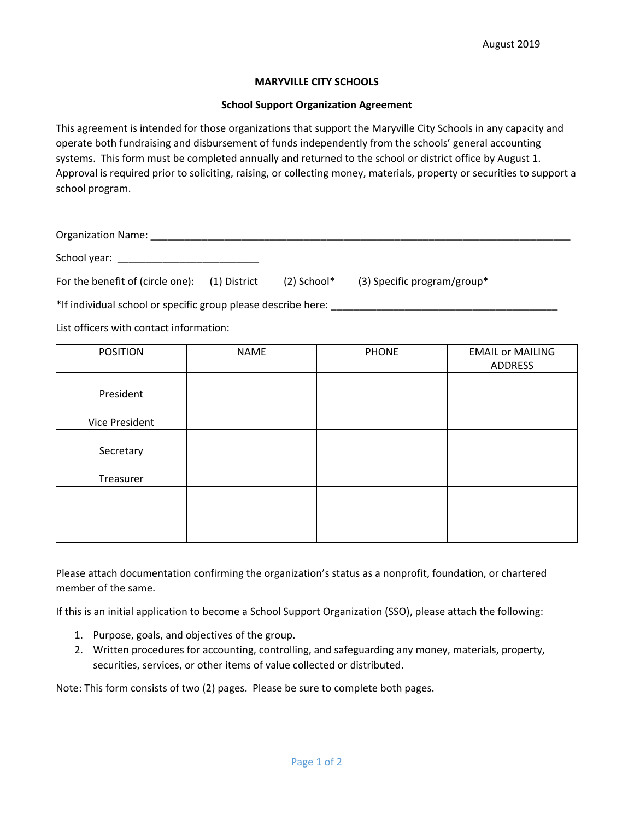## **MARYVILLE CITY SCHOOLS**

## **School Support Organization Agreement**

This agreement is intended for those organizations that support the Maryville City Schools in any capacity and operate both fundraising and disbursement of funds independently from the schools' general accounting systems. This form must be completed annually and returned to the school or district office by August 1. Approval is required prior to soliciting, raising, or collecting money, materials, property or securities to support a school program.

| <b>Organization Name:</b>                                                                                       |                  |                               |  |
|-----------------------------------------------------------------------------------------------------------------|------------------|-------------------------------|--|
| School year: and the state of the state of the state of the state of the state of the state of the state of the |                  |                               |  |
| For the benefit of (circle one): (1) District                                                                   | $(2)$ School $*$ | $(3)$ Specific program/group* |  |
| *If individual school or specific group please describe here:                                                   |                  |                               |  |

List officers with contact information:

| <b>POSITION</b> | <b>NAME</b> | <b>PHONE</b> | <b>EMAIL or MAILING</b><br>ADDRESS |
|-----------------|-------------|--------------|------------------------------------|
| President       |             |              |                                    |
| Vice President  |             |              |                                    |
| Secretary       |             |              |                                    |
| Treasurer       |             |              |                                    |
|                 |             |              |                                    |
|                 |             |              |                                    |

Please attach documentation confirming the organization's status as a nonprofit, foundation, or chartered member of the same.

If this is an initial application to become a School Support Organization (SSO), please attach the following:

- 1. Purpose, goals, and objectives of the group.
- 2. Written procedures for accounting, controlling, and safeguarding any money, materials, property, securities, services, or other items of value collected or distributed.

Note: This form consists of two (2) pages. Please be sure to complete both pages.